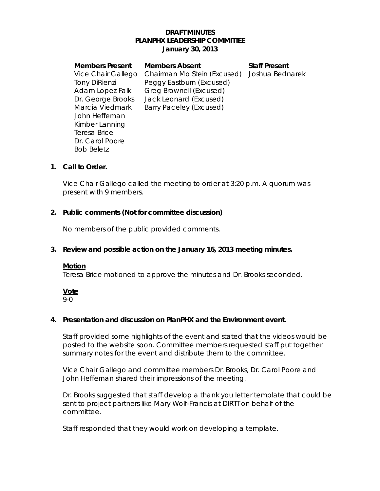# **DRAFT MINUTES PLANPHX LEADERSHIP COMMITTEE January 30, 2013**

| <b>Members Present</b> | <b>Members Absent</b>       | <b>Staff Present</b> |
|------------------------|-----------------------------|----------------------|
| Vice Chair Gallego     | Chairman Mo Stein (Excused) | Joshua Bednarek      |
| <b>Tony DiRienzi</b>   | Peggy Eastburn (Excused)    |                      |
| Adam Lopez Falk        | Greg Brownell (Excused)     |                      |
| Dr. George Brooks      | Jack Leonard (Excused)      |                      |
| Marcia Viedmark        | Barry Paceley (Excused)     |                      |
| John Heffernan         |                             |                      |
| Kimber Lanning         |                             |                      |
| Teresa Brice           |                             |                      |
| Dr. Carol Poore        |                             |                      |
| <b>Bob Beletz</b>      |                             |                      |
|                        |                             |                      |

# **1. Call to Order.**

Vice Chair Gallego called the meeting to order at 3:20 p.m. A quorum was present with 9 members.

# **2. Public comments (Not for committee discussion)**

No members of the public provided comments.

### **3. Review and possible action on the January 16, 2013 meeting minutes.**

#### **Motion**

Teresa Brice motioned to approve the minutes and Dr. Brooks seconded.

#### **Vote**

### 9-0

#### **4. Presentation and discussion on PlanPHX and the Environment event.**

Staff provided some highlights of the event and stated that the videos would be posted to the website soon. Committee members requested staff put together summary notes for the event and distribute them to the committee.

Vice Chair Gallego and committee members Dr. Brooks, Dr. Carol Poore and John Heffernan shared their impressions of the meeting.

Dr. Brooks suggested that staff develop a thank you letter template that could be sent to project partners like Mary Wolf-Francis at DIRTT on behalf of the committee.

Staff responded that they would work on developing a template.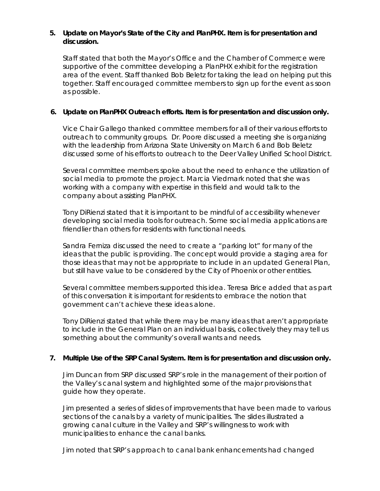# **5. Update on Mayor's State of the City and PlanPHX. Item is for presentation and discussion.**

Staff stated that both the Mayor's Office and the Chamber of Commerce were supportive of the committee developing a PlanPHX exhibit for the registration area of the event. Staff thanked Bob Beletz for taking the lead on helping put this together. Staff encouraged committee members to sign up for the event as soon as possible.

# **6. Update on PlanPHX Outreach efforts. Item is for presentation and discussion only.**

Vice Chair Gallego thanked committee members for all of their various efforts to outreach to community groups. Dr. Poore discussed a meeting she is organizing with the leadership from Arizona State University on March 6 and Bob Beletz discussed some of his efforts to outreach to the Deer Valley Unified School District.

Several committee members spoke about the need to enhance the utilization of social media to promote the project. Marcia Viedmark noted that she was working with a company with expertise in this field and would talk to the company about assisting PlanPHX.

Tony DiRienzi stated that it is important to be mindful of accessibility whenever developing social media tools for outreach. Some social media applications are friendlier than others for residents with functional needs.

Sandra Ferniza discussed the need to create a "parking lot" for many of the ideas that the public is providing. The concept would provide a staging area for those ideas that may not be appropriate to include in an updated General Plan, but still have value to be considered by the City of Phoenix or other entities.

Several committee members supported this idea. Teresa Brice added that as part of this conversation it is important for residents to embrace the notion that government can't achieve these ideas alone.

Tony DiRienzi stated that while there may be many ideas that aren't appropriate to include in the General Plan on an individual basis, collectively they may tell us something about the community's overall wants and needs.

# **7.** *Multiple Use of the SRP Canal System***. Item is for presentation and discussion only.**

Jim Duncan from SRP discussed SRP's role in the management of their portion of the Valley's canal system and highlighted some of the major provisions that guide how they operate.

Jim presented a series of slides of improvements that have been made to various sections of the canals by a variety of municipalities. The slides illustrated a growing canal culture in the Valley and SRP's willingness to work with municipalities to enhance the canal banks.

Jim noted that SRP's approach to canal bank enhancements had changed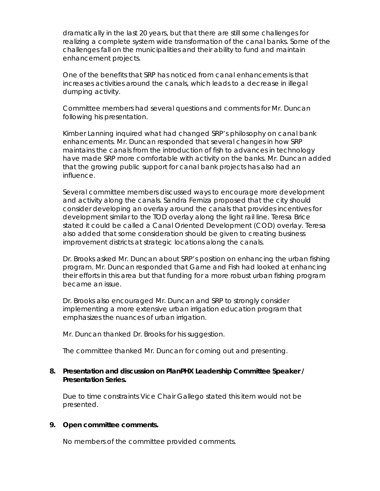dramatically in the last 20 years, but that there are still some challenges for realizing a complete system wide transformation of the canal banks. Some of the challenges fall on the municipalities and their ability to fund and maintain enhancement projects.

One of the benefits that SRP has noticed from canal enhancements is that increases activities around the canals, which leads to a decrease in illegal dumping activity.

Committee members had several questions and comments for Mr. Duncan following his presentation.

Kimber Lanning inquired what had changed SRP's philosophy on canal bank enhancements. Mr. Duncan responded that several changes in how SRP maintains the canals from the introduction of fish to advances in technology have made SRP more comfortable with activity on the banks. Mr. Duncan added that the growing public support for canal bank projects has also had an influence.

Several committee members discussed ways to encourage more development and activity along the canals. Sandra Ferniza proposed that the city should consider developing an overlay around the canals that provides incentives for development similar to the TOD overlay along the light rail line. Teresa Brice stated it could be called a Canal Oriented Development (COD) overlay. Teresa also added that some consideration should be given to creating business improvement districts at strategic locations along the canals.

Dr. Brooks asked Mr. Duncan about SRP's position on enhancing the urban fishing program. Mr. Duncan responded that Game and Fish had looked at enhancing their efforts in this area but that funding for a more robust urban fishing program became an issue.

Dr. Brooks also encouraged Mr. Duncan and SRP to strongly consider implementing a more extensive urban irrigation education program that emphasizes the nuances of urban irrigation.

Mr. Duncan thanked Dr. Brooks for his suggestion.

The committee thanked Mr. Duncan for coming out and presenting.

#### **8. Presentation and discussion on PlanPHX Leadership Committee Speaker / Presentation Series.**

Due to time constraints Vice Chair Gallego stated this item would not be presented.

#### **9. Open committee comments.**

No members of the committee provided comments.